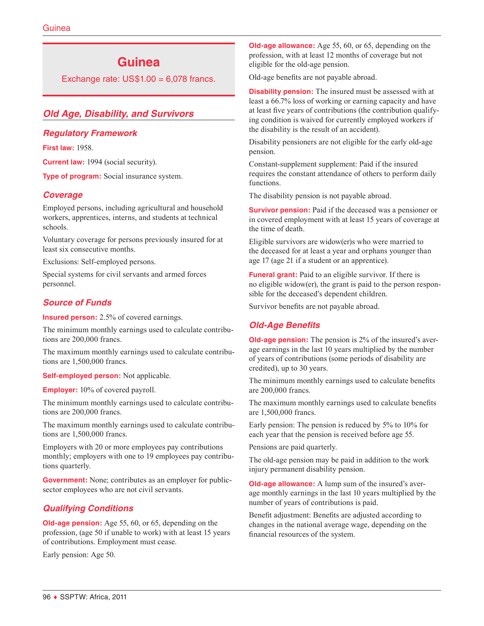## **Guinea**

Exchange rate:  $US$1.00 = 6,078$  francs.

## *Old Age, Disability, and Survivors*

#### *Regulatory Framework*

**First law:** 1958.

**Current law:** 1994 (social security).

**Type of program:** Social insurance system.

#### *Coverage*

Employed persons, including agricultural and household workers, apprentices, interns, and students at technical schools.

Voluntary coverage for persons previously insured for at least six consecutive months.

Exclusions: Self-employed persons.

Special systems for civil servants and armed forces personnel.

## *Source of Funds*

**Insured person:** 2.5% of covered earnings.

The minimum monthly earnings used to calculate contributions are 200,000 francs.

The maximum monthly earnings used to calculate contributions are 1,500,000 francs.

**Self-employed person:** Not applicable.

**Employer:** 10% of covered payroll.

The minimum monthly earnings used to calculate contributions are 200,000 francs.

The maximum monthly earnings used to calculate contributions are 1,500,000 francs.

Employers with 20 or more employees pay contributions monthly; employers with one to 19 employees pay contributions quarterly.

**Government:** None; contributes as an employer for publicsector employees who are not civil servants.

## *Qualifying Conditions*

**Old-age pension:** Age 55, 60, or 65, depending on the profession, (age 50 if unable to work) with at least 15 years of contributions. Employment must cease.

Early pension: Age 50.

**Old-age allowance:** Age 55, 60, or 65, depending on the profession, with at least 12 months of coverage but not eligible for the old-age pension.

Old-age benefits are not payable abroad.

**Disability pension:** The insured must be assessed with at least a 66.7% loss of working or earning capacity and have at least five years of contributions (the contribution qualifying condition is waived for currently employed workers if the disability is the result of an accident).

Disability pensioners are not eligible for the early old-age pension.

Constant-supplement supplement: Paid if the insured requires the constant attendance of others to perform daily functions.

The disability pension is not payable abroad.

**Survivor pension:** Paid if the deceased was a pensioner or in covered employment with at least 15 years of coverage at the time of death.

Eligible survivors are widow(er)s who were married to the deceased for at least a year and orphans younger than age 17 (age 21 if a student or an apprentice).

**Funeral grant:** Paid to an eligible survivor. If there is no eligible widow(er), the grant is paid to the person responsible for the deceased's dependent children.

Survivor benefits are not payable abroad.

## *Old-Age Benefits*

**Old-age pension:** The pension is 2% of the insured's average earnings in the last 10 years multiplied by the number of years of contributions (some periods of disability are credited), up to 30 years.

The minimum monthly earnings used to calculate benefits are 200,000 francs.

The maximum monthly earnings used to calculate benefits are 1,500,000 francs.

Early pension: The pension is reduced by 5% to 10% for each year that the pension is received before age 55.

Pensions are paid quarterly.

The old-age pension may be paid in addition to the work injury permanent disability pension.

**Old-age allowance:** A lump sum of the insured's average monthly earnings in the last 10 years multiplied by the number of years of contributions is paid.

Benefit adjustment: Benefits are adjusted according to changes in the national average wage, depending on the financial resources of the system.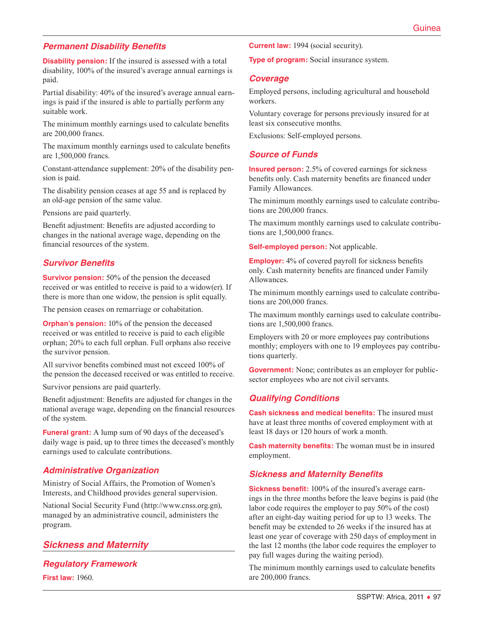## *Permanent Disability Benefits*

**Disability pension:** If the insured is assessed with a total disability, 100% of the insured's average annual earnings is paid.

Partial disability: 40% of the insured's average annual earnings is paid if the insured is able to partially perform any suitable work.

The minimum monthly earnings used to calculate benefits are 200,000 francs.

The maximum monthly earnings used to calculate benefits are 1,500,000 francs.

Constant-attendance supplement: 20% of the disability pension is paid.

The disability pension ceases at age 55 and is replaced by an old-age pension of the same value.

Pensions are paid quarterly.

Benefit adjustment: Benefits are adjusted according to changes in the national average wage, depending on the financial resources of the system.

## *Survivor Benefits*

**Survivor pension:** 50% of the pension the deceased received or was entitled to receive is paid to a widow(er). If there is more than one widow, the pension is split equally.

The pension ceases on remarriage or cohabitation.

**Orphan's pension:** 10% of the pension the deceased received or was entitled to receive is paid to each eligible orphan; 20% to each full orphan. Full orphans also receive the survivor pension.

All survivor benefits combined must not exceed 100% of the pension the deceased received or was entitled to receive.

Survivor pensions are paid quarterly.

Benefit adjustment: Benefits are adjusted for changes in the national average wage, depending on the financial resources of the system.

**Funeral grant:** A lump sum of 90 days of the deceased's daily wage is paid, up to three times the deceased's monthly earnings used to calculate contributions.

## *Administrative Organization*

Ministry of Social Affairs, the Promotion of Women's Interests, and Childhood provides general supervision.

National Social Security Fund [\(http://www.cnss.org.gn](http://www.cnss.org.gn)), managed by an administrative council, administers the program.

## *Sickness and Maternity*

# *Regulatory Framework*

**First law:** 1960.

**Current law:** 1994 (social security).

**Type of program:** Social insurance system.

#### *Coverage*

Employed persons, including agricultural and household workers.

Voluntary coverage for persons previously insured for at least six consecutive months.

Exclusions: Self-employed persons.

#### *Source of Funds*

**Insured person:** 2.5% of covered earnings for sickness benefits only. Cash maternity benefits are financed under Family Allowances.

The minimum monthly earnings used to calculate contributions are 200,000 francs.

The maximum monthly earnings used to calculate contributions are 1,500,000 francs.

**Self-employed person:** Not applicable.

**Employer:** 4% of covered payroll for sickness benefits only. Cash maternity benefits are financed under Family Allowances.

The minimum monthly earnings used to calculate contributions are 200,000 francs.

The maximum monthly earnings used to calculate contributions are 1,500,000 francs.

Employers with 20 or more employees pay contributions monthly; employers with one to 19 employees pay contributions quarterly.

**Government:** None; contributes as an employer for publicsector employees who are not civil servants.

## *Qualifying Conditions*

**Cash sickness and medical benefits:** The insured must have at least three months of covered employment with at least 18 days or 120 hours of work a month.

**Cash maternity benefits:** The woman must be in insured employment.

## *Sickness and Maternity Benefits*

**Sickness benefit:** 100% of the insured's average earnings in the three months before the leave begins is paid (the labor code requires the employer to pay 50% of the cost) after an eight-day waiting period for up to 13 weeks. The benefit may be extended to 26 weeks if the insured has at least one year of coverage with 250 days of employment in the last 12 months (the labor code requires the employer to pay full wages during the waiting period).

The minimum monthly earnings used to calculate benefits are 200,000 francs.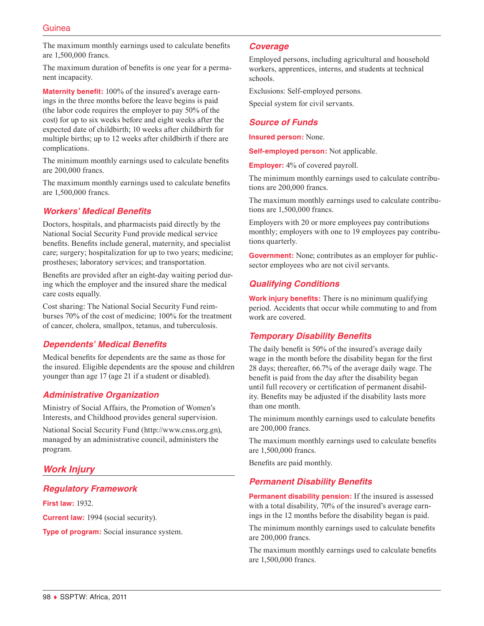## Guinea

The maximum monthly earnings used to calculate benefits are 1,500,000 francs.

The maximum duration of benefits is one year for a permanent incapacity.

**Maternity benefit:** 100% of the insured's average earnings in the three months before the leave begins is paid (the labor code requires the employer to pay 50% of the cost) for up to six weeks before and eight weeks after the expected date of childbirth; 10 weeks after childbirth for multiple births; up to 12 weeks after childbirth if there are complications.

The minimum monthly earnings used to calculate benefits are 200,000 francs.

The maximum monthly earnings used to calculate benefits are 1,500,000 francs.

## *Workers' Medical Benefits*

Doctors, hospitals, and pharmacists paid directly by the National Social Security Fund provide medical service benefits. Benefits include general, maternity, and specialist care; surgery; hospitalization for up to two years; medicine; prostheses; laboratory services; and transportation.

Benefits are provided after an eight-day waiting period during which the employer and the insured share the medical care costs equally.

Cost sharing: The National Social Security Fund reimburses 70% of the cost of medicine; 100% for the treatment of cancer, cholera, smallpox, tetanus, and tuberculosis.

## *Dependents' Medical Benefits*

Medical benefits for dependents are the same as those for the insured. Eligible dependents are the spouse and children younger than age 17 (age 21 if a student or disabled).

## *Administrative Organization*

Ministry of Social Affairs, the Promotion of Women's Interests, and Childhood provides general supervision.

National Social Security Fund [\(http://www.cnss.org.gn](http://www.cnss.org.gn)), managed by an administrative council, administers the program.

## *Work Injury*

## *Regulatory Framework*

**First law:** 1932.

**Current law:** 1994 (social security).

**Type of program:** Social insurance system.

#### *Coverage*

Employed persons, including agricultural and household workers, apprentices, interns, and students at technical schools.

Exclusions: Self-employed persons.

Special system for civil servants.

## *Source of Funds*

**Insured person:** None.

**Self-employed person:** Not applicable.

**Employer:** 4% of covered payroll.

The minimum monthly earnings used to calculate contributions are 200,000 francs.

The maximum monthly earnings used to calculate contributions are 1,500,000 francs.

Employers with 20 or more employees pay contributions monthly; employers with one to 19 employees pay contributions quarterly.

**Government:** None; contributes as an employer for publicsector employees who are not civil servants.

#### *Qualifying Conditions*

**Work injury benefits:** There is no minimum qualifying period. Accidents that occur while commuting to and from work are covered.

## *Temporary Disability Benefits*

The daily benefit is 50% of the insured's average daily wage in the month before the disability began for the first 28 days; thereafter, 66.7% of the average daily wage. The benefit is paid from the day after the disability began until full recovery or certification of permanent disability. Benefits may be adjusted if the disability lasts more than one month.

The minimum monthly earnings used to calculate benefits are 200,000 francs.

The maximum monthly earnings used to calculate benefits are 1,500,000 francs.

Benefits are paid monthly.

#### *Permanent Disability Benefits*

**Permanent disability pension:** If the insured is assessed with a total disability, 70% of the insured's average earnings in the 12 months before the disability began is paid.

The minimum monthly earnings used to calculate benefits are 200,000 francs.

The maximum monthly earnings used to calculate benefits are 1,500,000 francs.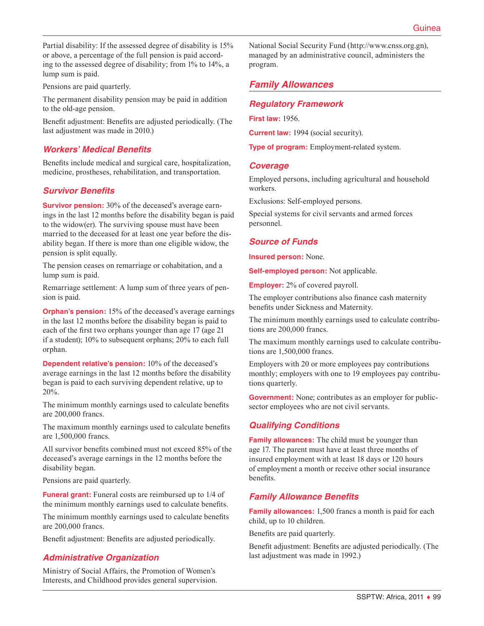Partial disability: If the assessed degree of disability is 15% or above, a percentage of the full pension is paid according to the assessed degree of disability; from 1% to 14%, a lump sum is paid.

Pensions are paid quarterly.

The permanent disability pension may be paid in addition to the old-age pension.

Benefit adjustment: Benefits are adjusted periodically. (The last adjustment was made in 2010.)

## *Workers' Medical Benefits*

Benefits include medical and surgical care, hospitalization, medicine, prostheses, rehabilitation, and transportation.

## *Survivor Benefits*

**Survivor pension:** 30% of the deceased's average earnings in the last 12 months before the disability began is paid to the widow(er). The surviving spouse must have been married to the deceased for at least one year before the disability began. If there is more than one eligible widow, the pension is split equally.

The pension ceases on remarriage or cohabitation, and a lump sum is paid.

Remarriage settlement: A lump sum of three years of pension is paid.

**Orphan's pension:** 15% of the deceased's average earnings in the last 12 months before the disability began is paid to each of the first two orphans younger than age 17 (age 21 if a student); 10% to subsequent orphans; 20% to each full orphan.

**Dependent relative's pension:** 10% of the deceased's average earnings in the last 12 months before the disability began is paid to each surviving dependent relative, up to 20%.

The minimum monthly earnings used to calculate benefits are 200,000 francs.

The maximum monthly earnings used to calculate benefits are 1,500,000 francs.

All survivor benefits combined must not exceed 85% of the deceased's average earnings in the 12 months before the disability began.

Pensions are paid quarterly.

**Funeral grant:** Funeral costs are reimbursed up to 1/4 of the minimum monthly earnings used to calculate benefits.

The minimum monthly earnings used to calculate benefits are 200,000 francs.

Benefit adjustment: Benefits are adjusted periodically.

## *Administrative Organization*

Ministry of Social Affairs, the Promotion of Women's Interests, and Childhood provides general supervision. National Social Security Fund [\(http://www.cnss.org.gn](http://www.cnss.org.gn)), managed by an administrative council, administers the program.

## *Family Allowances*

## *Regulatory Framework*

**First law:** 1956.

**Current law:** 1994 (social security).

**Type of program:** Employment-related system.

#### *Coverage*

Employed persons, including agricultural and household workers.

Exclusions: Self-employed persons.

Special systems for civil servants and armed forces personnel.

#### *Source of Funds*

**Insured person:** None.

**Self-employed person:** Not applicable.

**Employer:** 2% of covered payroll.

The employer contributions also finance cash maternity benefits under Sickness and Maternity.

The minimum monthly earnings used to calculate contributions are 200,000 francs.

The maximum monthly earnings used to calculate contributions are 1,500,000 francs.

Employers with 20 or more employees pay contributions monthly; employers with one to 19 employees pay contributions quarterly.

**Government:** None; contributes as an employer for publicsector employees who are not civil servants.

## *Qualifying Conditions*

**Family allowances:** The child must be younger than age 17. The parent must have at least three months of insured employment with at least 18 days or 120 hours of employment a month or receive other social insurance benefits.

## *Family Allowance Benefits*

**Family allowances:** 1,500 francs a month is paid for each child, up to 10 children.

Benefits are paid quarterly.

Benefit adjustment: Benefits are adjusted periodically. (The last adjustment was made in 1992.)